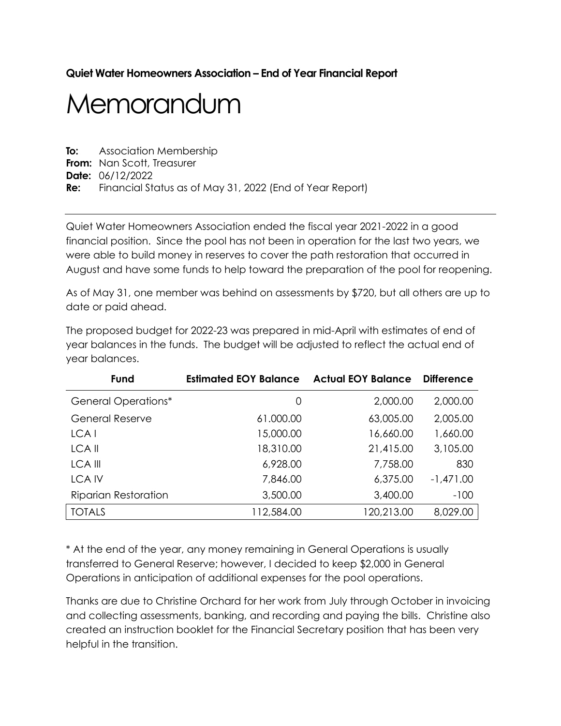# **Quiet Water Homeowners Association – End of Year Financial Report**

# Memorandum

**To:** Association Membership **From:** Nan Scott, Treasurer **Date:** 06/12/2022 **Re:** Financial Status as of May 31, 2022 (End of Year Report)

Quiet Water Homeowners Association ended the fiscal year 2021-2022 in a good financial position. Since the pool has not been in operation for the last two years, we were able to build money in reserves to cover the path restoration that occurred in August and have some funds to help toward the preparation of the pool for reopening.

As of May 31, one member was behind on assessments by \$720, but all others are up to date or paid ahead.

| Fund                        | <b>Estimated EOY Balance</b> | <b>Actual EOY Balance</b> | <b>Difference</b> |
|-----------------------------|------------------------------|---------------------------|-------------------|
| <b>General Operations*</b>  | 0                            | 2,000.00                  | 2,000.00          |
| <b>General Reserve</b>      | 61.000.00                    | 63,005.00                 | 2,005.00          |
| LCA <sub>I</sub>            | 15,000.00                    | 16,660.00                 | 1,660.00          |
| LCA II                      | 18,310.00                    | 21,415.00                 | 3,105.00          |
| <b>LCA III</b>              | 6,928.00                     | 7,758.00                  | 830               |
| <b>LCAIV</b>                | 7,846.00                     | 6,375.00                  | $-1,471.00$       |
| <b>Riparian Restoration</b> | 3,500.00                     | 3,400.00                  | $-100$            |
| <b>TOTALS</b>               | 112,584.00                   | 120,213.00                | 8,029.00          |

The proposed budget for 2022-23 was prepared in mid-April with estimates of end of year balances in the funds. The budget will be adjusted to reflect the actual end of year balances.

\* At the end of the year, any money remaining in General Operations is usually transferred to General Reserve; however, I decided to keep \$2,000 in General Operations in anticipation of additional expenses for the pool operations.

Thanks are due to Christine Orchard for her work from July through October in invoicing and collecting assessments, banking, and recording and paying the bills. Christine also created an instruction booklet for the Financial Secretary position that has been very helpful in the transition.